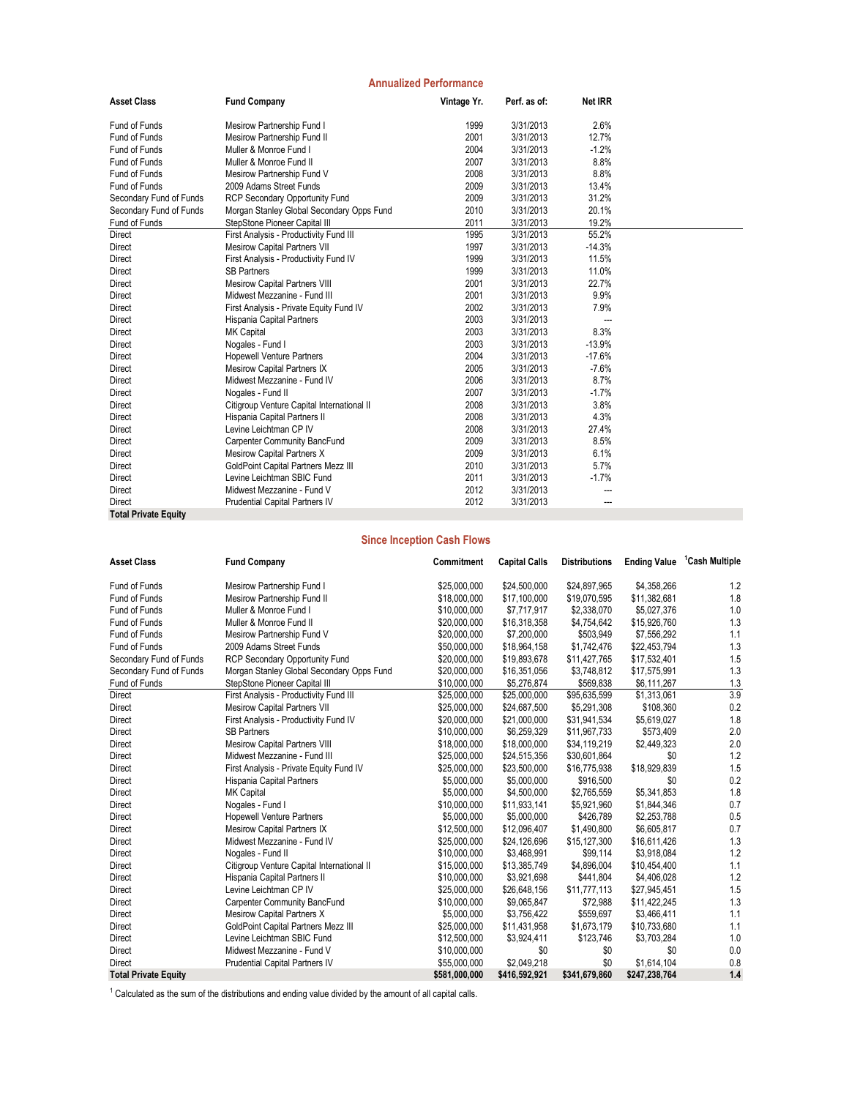| <b>Annualized Performance</b> |                                            |             |              |                |  |  |
|-------------------------------|--------------------------------------------|-------------|--------------|----------------|--|--|
| <b>Asset Class</b>            | <b>Fund Company</b>                        | Vintage Yr. | Perf. as of: | <b>Net IRR</b> |  |  |
| Fund of Funds                 | Mesirow Partnership Fund I                 | 1999        | 3/31/2013    | 2.6%           |  |  |
| Fund of Funds                 | Mesirow Partnership Fund II                | 2001        | 3/31/2013    | 12.7%          |  |  |
| Fund of Funds                 | Muller & Monroe Fund I                     | 2004        | 3/31/2013    | $-1.2%$        |  |  |
| Fund of Funds                 | Muller & Monroe Fund II                    | 2007        | 3/31/2013    | 8.8%           |  |  |
| Fund of Funds                 | Mesirow Partnership Fund V                 | 2008        | 3/31/2013    | 8.8%           |  |  |
| Fund of Funds                 | 2009 Adams Street Funds                    | 2009        | 3/31/2013    | 13.4%          |  |  |
| Secondary Fund of Funds       | RCP Secondary Opportunity Fund             | 2009        | 3/31/2013    | 31.2%          |  |  |
| Secondary Fund of Funds       | Morgan Stanley Global Secondary Opps Fund  | 2010        | 3/31/2013    | 20.1%          |  |  |
| Fund of Funds                 | StepStone Pioneer Capital III              | 2011        | 3/31/2013    | 19.2%          |  |  |
| <b>Direct</b>                 | First Analysis - Productivity Fund III     | 1995        | 3/31/2013    | 55.2%          |  |  |
| Direct                        | <b>Mesirow Capital Partners VII</b>        | 1997        | 3/31/2013    | $-14.3%$       |  |  |
| Direct                        | First Analysis - Productivity Fund IV      | 1999        | 3/31/2013    | 11.5%          |  |  |
| Direct                        | <b>SB Partners</b>                         | 1999        | 3/31/2013    | 11.0%          |  |  |
| Direct                        | <b>Mesirow Capital Partners VIII</b>       | 2001        | 3/31/2013    | 22.7%          |  |  |
| Direct                        | Midwest Mezzanine - Fund III               | 2001        | 3/31/2013    | 9.9%           |  |  |
| <b>Direct</b>                 | First Analysis - Private Equity Fund IV    | 2002        | 3/31/2013    | 7.9%           |  |  |
| Direct                        | Hispania Capital Partners                  | 2003        | 3/31/2013    |                |  |  |
| Direct                        | <b>MK Capital</b>                          | 2003        | 3/31/2013    | 8.3%           |  |  |
| Direct                        | Nogales - Fund I                           | 2003        | 3/31/2013    | $-13.9%$       |  |  |
| Direct                        | <b>Hopewell Venture Partners</b>           | 2004        | 3/31/2013    | $-17.6%$       |  |  |
| Direct                        | <b>Mesirow Capital Partners IX</b>         | 2005        | 3/31/2013    | $-7.6%$        |  |  |
| Direct                        | Midwest Mezzanine - Fund IV                | 2006        | 3/31/2013    | 8.7%           |  |  |
| Direct                        | Nogales - Fund II                          | 2007        | 3/31/2013    | $-1.7%$        |  |  |
| Direct                        | Citigroup Venture Capital International II | 2008        | 3/31/2013    | 3.8%           |  |  |
| Direct                        | Hispania Capital Partners II               | 2008        | 3/31/2013    | 4.3%           |  |  |
| Direct                        | Levine Leichtman CP IV                     | 2008        | 3/31/2013    | 27.4%          |  |  |
| Direct                        | <b>Carpenter Community BancFund</b>        | 2009        | 3/31/2013    | 8.5%           |  |  |
| Direct                        | Mesirow Capital Partners X                 | 2009        | 3/31/2013    | 6.1%           |  |  |
| Direct                        | GoldPoint Capital Partners Mezz III        | 2010        | 3/31/2013    | 5.7%           |  |  |
| Direct                        | Levine Leichtman SBIC Fund                 | 2011        | 3/31/2013    | $-1.7%$        |  |  |
| Direct                        | Midwest Mezzanine - Fund V                 | 2012        | 3/31/2013    | ---            |  |  |
| Direct                        | Prudential Capital Partners IV             | 2012        | 3/31/2013    | ---            |  |  |
| <b>Total Private Equity</b>   |                                            |             |              |                |  |  |

## **Since Inception Cash Flows**

| <b>Asset Class</b>          | <b>Fund Company</b>                        | Commitment    | <b>Capital Calls</b> | <b>Distributions</b> | <b>Ending Value</b> | <sup>1</sup> Cash Multiple |
|-----------------------------|--------------------------------------------|---------------|----------------------|----------------------|---------------------|----------------------------|
| Fund of Funds               | Mesirow Partnership Fund I                 | \$25,000,000  | \$24,500,000         | \$24,897,965         | \$4,358,266         | 1.2                        |
| Fund of Funds               | Mesirow Partnership Fund II                | \$18,000,000  | \$17,100,000         | \$19,070,595         | \$11,382,681        | 1.8                        |
| Fund of Funds               | Muller & Monroe Fund I                     | \$10,000,000  | \$7,717,917          | \$2,338,070          | \$5,027,376         | 1.0                        |
| Fund of Funds               | Muller & Monroe Fund II                    | \$20,000,000  | \$16,318,358         | \$4,754,642          | \$15,926,760        | 1.3                        |
| Fund of Funds               | Mesirow Partnership Fund V                 | \$20,000,000  | \$7,200,000          | \$503,949            | \$7,556,292         | 1.1                        |
| Fund of Funds               | 2009 Adams Street Funds                    | \$50,000,000  | \$18,964,158         | \$1,742,476          | \$22,453,794        | 1.3                        |
| Secondary Fund of Funds     | RCP Secondary Opportunity Fund             | \$20,000,000  | \$19,893,678         | \$11,427,765         | \$17,532,401        | 1.5                        |
| Secondary Fund of Funds     | Morgan Stanley Global Secondary Opps Fund  | \$20,000,000  | \$16,351,056         | \$3,748,812          | \$17,575,991        | 1.3                        |
| Fund of Funds               | StepStone Pioneer Capital III              | \$10,000,000  | \$5,276,874          | \$569,838            | \$6,111,267         | 1.3                        |
| <b>Direct</b>               | First Analysis - Productivity Fund III     | \$25,000,000  | \$25,000,000         | \$95,635,599         | \$1,313,061         | 3.9                        |
| Direct                      | <b>Mesirow Capital Partners VII</b>        | \$25,000,000  | \$24,687,500         | \$5,291,308          | \$108,360           | 0.2                        |
| Direct                      | First Analysis - Productivity Fund IV      | \$20,000,000  | \$21,000,000         | \$31,941,534         | \$5,619,027         | 1.8                        |
| Direct                      | <b>SB Partners</b>                         | \$10,000,000  | \$6,259,329          | \$11,967,733         | \$573,409           | 2.0                        |
| Direct                      | <b>Mesirow Capital Partners VIII</b>       | \$18,000,000  | \$18,000,000         | \$34,119,219         | \$2,449,323         | 2.0                        |
| Direct                      | Midwest Mezzanine - Fund III               | \$25,000,000  | \$24,515,356         | \$30,601,864         | \$0                 | 1.2                        |
| Direct                      | First Analysis - Private Equity Fund IV    | \$25,000,000  | \$23,500,000         | \$16,775,938         | \$18,929,839        | 1.5                        |
| Direct                      | Hispania Capital Partners                  | \$5,000,000   | \$5,000,000          | \$916,500            | \$0                 | 0.2                        |
| Direct                      | <b>MK Capital</b>                          | \$5,000,000   | \$4,500,000          | \$2,765,559          | \$5,341,853         | 1.8                        |
| Direct                      | Nogales - Fund I                           | \$10,000,000  | \$11,933,141         | \$5,921,960          | \$1,844,346         | 0.7                        |
| Direct                      | <b>Hopewell Venture Partners</b>           | \$5,000,000   | \$5,000,000          | \$426,789            | \$2,253,788         | 0.5                        |
| Direct                      | <b>Mesirow Capital Partners IX</b>         | \$12,500,000  | \$12,096,407         | \$1,490,800          | \$6,605,817         | 0.7                        |
| Direct                      | Midwest Mezzanine - Fund IV                | \$25,000,000  | \$24,126,696         | \$15,127,300         | \$16,611,426        | 1.3                        |
| Direct                      | Nogales - Fund II                          | \$10,000,000  | \$3,468,991          | \$99,114             | \$3,918,084         | 1.2                        |
| Direct                      | Citigroup Venture Capital International II | \$15,000,000  | \$13,385,749         | \$4,896,004          | \$10,454,400        | 1.1                        |
| Direct                      | Hispania Capital Partners II               | \$10,000,000  | \$3,921,698          | \$441,804            | \$4,406,028         | 1.2                        |
| Direct                      | Levine Leichtman CP IV                     | \$25,000,000  | \$26,648,156         | \$11,777,113         | \$27,945,451        | 1.5                        |
| Direct                      | Carpenter Community BancFund               | \$10,000,000  | \$9,065,847          | \$72,988             | \$11,422,245        | 1.3                        |
| Direct                      | Mesirow Capital Partners X                 | \$5,000,000   | \$3,756,422          | \$559,697            | \$3,466,411         | 1.1                        |
| Direct                      | <b>GoldPoint Capital Partners Mezz III</b> | \$25,000,000  | \$11,431,958         | \$1,673,179          | \$10,733,680        | 1.1                        |
| Direct                      | Levine Leichtman SBIC Fund                 | \$12,500,000  | \$3,924,411          | \$123,746            | \$3,703,284         | 1.0                        |
| Direct                      | Midwest Mezzanine - Fund V                 | \$10,000,000  | \$0                  | \$0                  | \$0                 | 0.0                        |
| <b>Direct</b>               | <b>Prudential Capital Partners IV</b>      | \$55,000,000  | \$2,049,218          | \$0                  | \$1,614,104         | 0.8                        |
| <b>Total Private Equity</b> |                                            | \$581,000,000 | \$416,592,921        | \$341,679,860        | \$247,238,764       | 1.4                        |

 $1$  Calculated as the sum of the distributions and ending value divided by the amount of all capital calls.